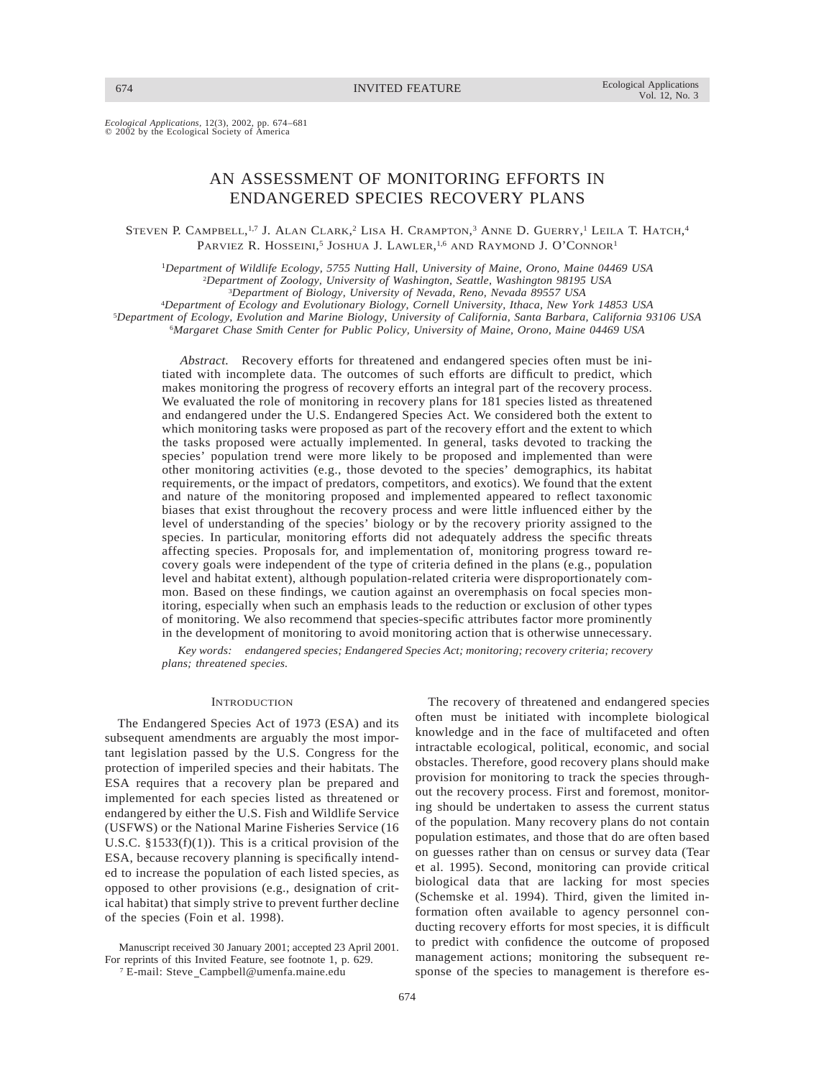*Ecological Applications,* 12(3), 2002, pp. 674–681  $\circ$  2002 by the Ecological Society of America

# AN ASSESSMENT OF MONITORING EFFORTS IN ENDANGERED SPECIES RECOVERY PLANS

STEVEN P. CAMPBELL,<sup>1,7</sup> J. Alan Clark,<sup>2</sup> Lisa H. Crampton,<sup>3</sup> Anne D. Guerry,<sup>1</sup> Leila T. Hatch,<sup>4</sup> PARVIEZ R. HOSSEINI,<sup>5</sup> JOSHUA J. LAWLER,<sup>1,6</sup> AND RAYMOND J. O'CONNOR<sup>1</sup>

<sup>1</sup>*Department of Wildlife Ecology, 5755 Nutting Hall, University of Maine, Orono, Maine 04469 USA* 2 *Department of Zoology, University of Washington, Seattle, Washington 98195 USA* 3 *Department of Biology, University of Nevada, Reno, Nevada 89557 USA*

4 *Department of Ecology and Evolutionary Biology, Cornell University, Ithaca, New York 14853 USA*

5 *Department of Ecology, Evolution and Marine Biology, University of California, Santa Barbara, California 93106 USA*

6 *Margaret Chase Smith Center for Public Policy, University of Maine, Orono, Maine 04469 USA*

*Abstract.* Recovery efforts for threatened and endangered species often must be initiated with incomplete data. The outcomes of such efforts are difficult to predict, which makes monitoring the progress of recovery efforts an integral part of the recovery process. We evaluated the role of monitoring in recovery plans for 181 species listed as threatened and endangered under the U.S. Endangered Species Act. We considered both the extent to which monitoring tasks were proposed as part of the recovery effort and the extent to which the tasks proposed were actually implemented. In general, tasks devoted to tracking the species' population trend were more likely to be proposed and implemented than were other monitoring activities (e.g., those devoted to the species' demographics, its habitat requirements, or the impact of predators, competitors, and exotics). We found that the extent and nature of the monitoring proposed and implemented appeared to reflect taxonomic biases that exist throughout the recovery process and were little influenced either by the level of understanding of the species' biology or by the recovery priority assigned to the species. In particular, monitoring efforts did not adequately address the specific threats affecting species. Proposals for, and implementation of, monitoring progress toward recovery goals were independent of the type of criteria defined in the plans (e.g., population level and habitat extent), although population-related criteria were disproportionately common. Based on these findings, we caution against an overemphasis on focal species monitoring, especially when such an emphasis leads to the reduction or exclusion of other types of monitoring. We also recommend that species-specific attributes factor more prominently in the development of monitoring to avoid monitoring action that is otherwise unnecessary.

*Key words: endangered species; Endangered Species Act; monitoring; recovery criteria; recovery plans; threatened species.*

#### **INTRODUCTION**

The Endangered Species Act of 1973 (ESA) and its subsequent amendments are arguably the most important legislation passed by the U.S. Congress for the protection of imperiled species and their habitats. The ESA requires that a recovery plan be prepared and implemented for each species listed as threatened or endangered by either the U.S. Fish and Wildlife Service (USFWS) or the National Marine Fisheries Service (16 U.S.C.  $§1533(f)(1)$ . This is a critical provision of the ESA, because recovery planning is specifically intended to increase the population of each listed species, as opposed to other provisions (e.g., designation of critical habitat) that simply strive to prevent further decline of the species (Foin et al. 1998).

Manuscript received 30 January 2001; accepted 23 April 2001. For reprints of this Invited Feature, see footnote 1, p. 629.

<sup>7</sup> E-mail: Steve Campbell@umenfa.maine.edu

The recovery of threatened and endangered species often must be initiated with incomplete biological knowledge and in the face of multifaceted and often intractable ecological, political, economic, and social obstacles. Therefore, good recovery plans should make provision for monitoring to track the species throughout the recovery process. First and foremost, monitoring should be undertaken to assess the current status of the population. Many recovery plans do not contain population estimates, and those that do are often based on guesses rather than on census or survey data (Tear et al. 1995). Second, monitoring can provide critical biological data that are lacking for most species (Schemske et al. 1994). Third, given the limited information often available to agency personnel conducting recovery efforts for most species, it is difficult to predict with confidence the outcome of proposed management actions; monitoring the subsequent response of the species to management is therefore es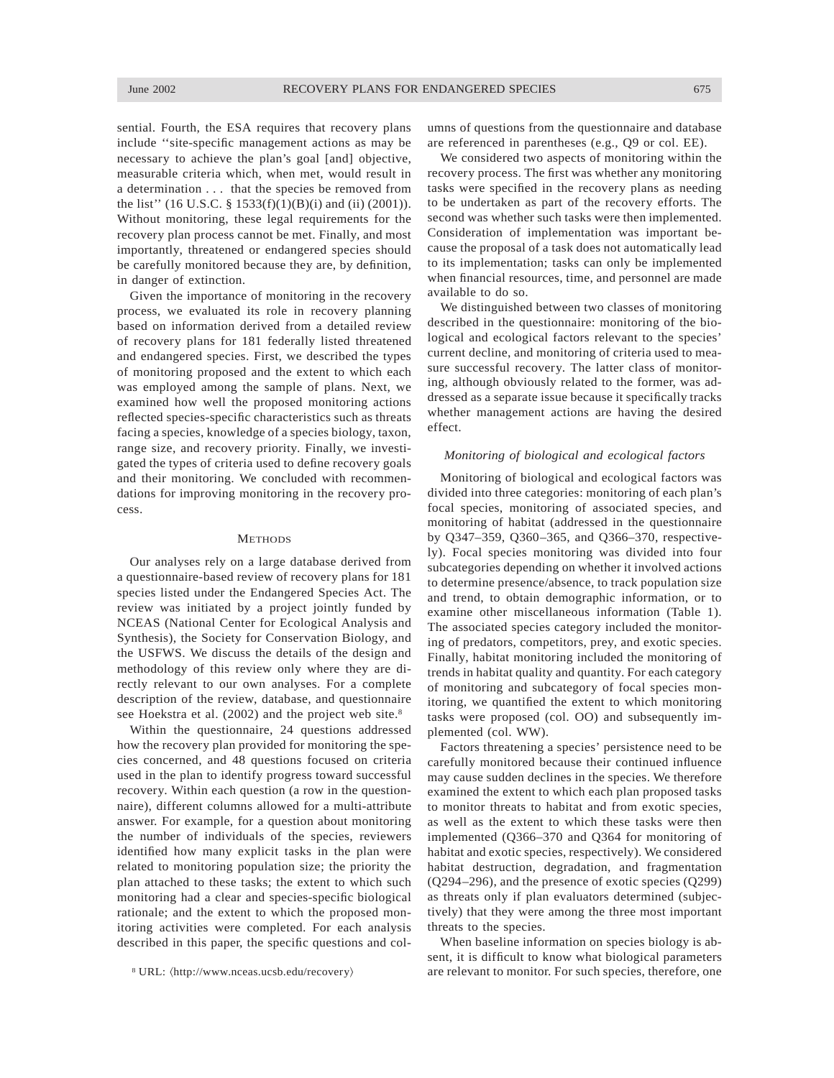sential. Fourth, the ESA requires that recovery plans include ''site-specific management actions as may be necessary to achieve the plan's goal [and] objective, measurable criteria which, when met, would result in a determination . . . that the species be removed from the list'' (16 U.S.C. § 1533(f)(1)(B)(i) and (ii) (2001)). Without monitoring, these legal requirements for the recovery plan process cannot be met. Finally, and most importantly, threatened or endangered species should be carefully monitored because they are, by definition, in danger of extinction.

Given the importance of monitoring in the recovery process, we evaluated its role in recovery planning based on information derived from a detailed review of recovery plans for 181 federally listed threatened and endangered species. First, we described the types of monitoring proposed and the extent to which each was employed among the sample of plans. Next, we examined how well the proposed monitoring actions reflected species-specific characteristics such as threats facing a species, knowledge of a species biology, taxon, range size, and recovery priority. Finally, we investigated the types of criteria used to define recovery goals and their monitoring. We concluded with recommendations for improving monitoring in the recovery process.

# **METHODS**

Our analyses rely on a large database derived from a questionnaire-based review of recovery plans for 181 species listed under the Endangered Species Act. The review was initiated by a project jointly funded by NCEAS (National Center for Ecological Analysis and Synthesis), the Society for Conservation Biology, and the USFWS. We discuss the details of the design and methodology of this review only where they are directly relevant to our own analyses. For a complete description of the review, database, and questionnaire see Hoekstra et al. (2002) and the project web site.<sup>8</sup>

Within the questionnaire, 24 questions addressed how the recovery plan provided for monitoring the species concerned, and 48 questions focused on criteria used in the plan to identify progress toward successful recovery. Within each question (a row in the questionnaire), different columns allowed for a multi-attribute answer. For example, for a question about monitoring the number of individuals of the species, reviewers identified how many explicit tasks in the plan were related to monitoring population size; the priority the plan attached to these tasks; the extent to which such monitoring had a clear and species-specific biological rationale; and the extent to which the proposed monitoring activities were completed. For each analysis described in this paper, the specific questions and columns of questions from the questionnaire and database are referenced in parentheses (e.g., Q9 or col. EE).

We considered two aspects of monitoring within the recovery process. The first was whether any monitoring tasks were specified in the recovery plans as needing to be undertaken as part of the recovery efforts. The second was whether such tasks were then implemented. Consideration of implementation was important because the proposal of a task does not automatically lead to its implementation; tasks can only be implemented when financial resources, time, and personnel are made available to do so.

We distinguished between two classes of monitoring described in the questionnaire: monitoring of the biological and ecological factors relevant to the species' current decline, and monitoring of criteria used to measure successful recovery. The latter class of monitoring, although obviously related to the former, was addressed as a separate issue because it specifically tracks whether management actions are having the desired effect.

# *Monitoring of biological and ecological factors*

Monitoring of biological and ecological factors was divided into three categories: monitoring of each plan's focal species, monitoring of associated species, and monitoring of habitat (addressed in the questionnaire by Q347–359, Q360–365, and Q366–370, respectively). Focal species monitoring was divided into four subcategories depending on whether it involved actions to determine presence/absence, to track population size and trend, to obtain demographic information, or to examine other miscellaneous information (Table 1). The associated species category included the monitoring of predators, competitors, prey, and exotic species. Finally, habitat monitoring included the monitoring of trends in habitat quality and quantity. For each category of monitoring and subcategory of focal species monitoring, we quantified the extent to which monitoring tasks were proposed (col. OO) and subsequently implemented (col. WW).

Factors threatening a species' persistence need to be carefully monitored because their continued influence may cause sudden declines in the species. We therefore examined the extent to which each plan proposed tasks to monitor threats to habitat and from exotic species, as well as the extent to which these tasks were then implemented (Q366–370 and Q364 for monitoring of habitat and exotic species, respectively). We considered habitat destruction, degradation, and fragmentation (Q294–296), and the presence of exotic species (Q299) as threats only if plan evaluators determined (subjectively) that they were among the three most important threats to the species.

When baseline information on species biology is absent, it is difficult to know what biological parameters are relevant to monitor. For such species, therefore, one

<sup>8</sup> URL:  $\langle$ http://www.nceas.ucsb.edu/recovery $\rangle$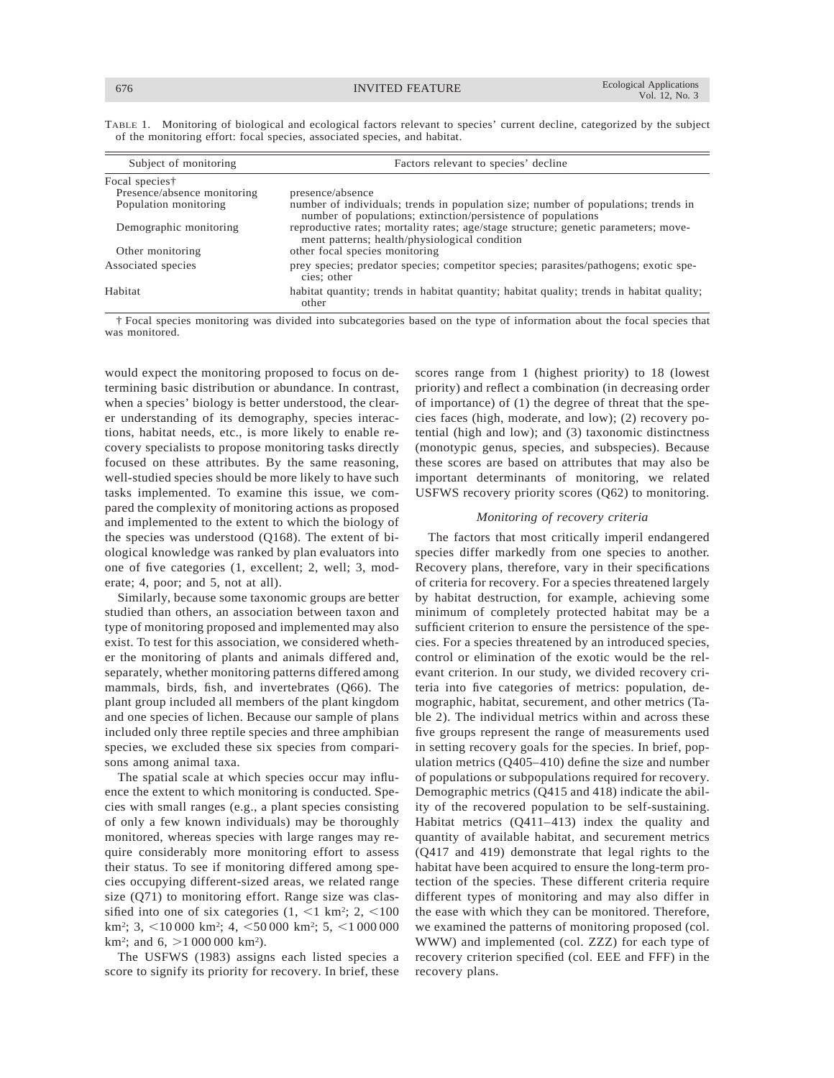| TABLE 1. Monitoring of biological and ecological factors relevant to species' current decline, categorized by the subject |  |  |  |  |  |  |
|---------------------------------------------------------------------------------------------------------------------------|--|--|--|--|--|--|
| of the monitoring effort: focal species, associated species, and habitat.                                                 |  |  |  |  |  |  |

| Subject of monitoring       | Factors relevant to species' decline                                                                                                               |
|-----------------------------|----------------------------------------------------------------------------------------------------------------------------------------------------|
| Focal species†              |                                                                                                                                                    |
| Presence/absence monitoring | presence/absence                                                                                                                                   |
| Population monitoring       | number of individuals; trends in population size; number of populations; trends in<br>number of populations; extinction/persistence of populations |
| Demographic monitoring      | reproductive rates; mortality rates; age/stage structure; genetic parameters; move-<br>ment patterns; health/physiological condition               |
| Other monitoring            | other focal species monitoring                                                                                                                     |
| Associated species          | prey species; predator species; competitor species; parasites/pathogens; exotic spe-<br>cies: other                                                |
| Habitat                     | habitat quantity; trends in habitat quantity; habitat quality; trends in habitat quality;<br>other                                                 |

† Focal species monitoring was divided into subcategories based on the type of information about the focal species that was monitored.

would expect the monitoring proposed to focus on determining basic distribution or abundance. In contrast, when a species' biology is better understood, the clearer understanding of its demography, species interactions, habitat needs, etc., is more likely to enable recovery specialists to propose monitoring tasks directly focused on these attributes. By the same reasoning, well-studied species should be more likely to have such tasks implemented. To examine this issue, we compared the complexity of monitoring actions as proposed and implemented to the extent to which the biology of the species was understood (Q168). The extent of biological knowledge was ranked by plan evaluators into one of five categories (1, excellent; 2, well; 3, moderate; 4, poor; and 5, not at all).

Similarly, because some taxonomic groups are better studied than others, an association between taxon and type of monitoring proposed and implemented may also exist. To test for this association, we considered whether the monitoring of plants and animals differed and, separately, whether monitoring patterns differed among mammals, birds, fish, and invertebrates (Q66). The plant group included all members of the plant kingdom and one species of lichen. Because our sample of plans included only three reptile species and three amphibian species, we excluded these six species from comparisons among animal taxa.

The spatial scale at which species occur may influence the extent to which monitoring is conducted. Species with small ranges (e.g., a plant species consisting of only a few known individuals) may be thoroughly monitored, whereas species with large ranges may require considerably more monitoring effort to assess their status. To see if monitoring differed among species occupying different-sized areas, we related range size (Q71) to monitoring effort. Range size was classified into one of six categories  $(1, \leq 1 \text{ km}^2; 2, \leq 100$ km<sup>2</sup>; 3, <10 000 km<sup>2</sup>; 4, <50 000 km<sup>2</sup>; 5, <1 000 000 km<sup>2</sup>; and  $6$ ,  $>1000000$  km<sup>2</sup>).

The USFWS (1983) assigns each listed species a score to signify its priority for recovery. In brief, these scores range from 1 (highest priority) to 18 (lowest priority) and reflect a combination (in decreasing order of importance) of (1) the degree of threat that the species faces (high, moderate, and low); (2) recovery potential (high and low); and (3) taxonomic distinctness (monotypic genus, species, and subspecies). Because these scores are based on attributes that may also be important determinants of monitoring, we related USFWS recovery priority scores (Q62) to monitoring.

#### *Monitoring of recovery criteria*

The factors that most critically imperil endangered species differ markedly from one species to another. Recovery plans, therefore, vary in their specifications of criteria for recovery. For a species threatened largely by habitat destruction, for example, achieving some minimum of completely protected habitat may be a sufficient criterion to ensure the persistence of the species. For a species threatened by an introduced species, control or elimination of the exotic would be the relevant criterion. In our study, we divided recovery criteria into five categories of metrics: population, demographic, habitat, securement, and other metrics (Table 2). The individual metrics within and across these five groups represent the range of measurements used in setting recovery goals for the species. In brief, population metrics (Q405–410) define the size and number of populations or subpopulations required for recovery. Demographic metrics (Q415 and 418) indicate the ability of the recovered population to be self-sustaining. Habitat metrics (Q411–413) index the quality and quantity of available habitat, and securement metrics (Q417 and 419) demonstrate that legal rights to the habitat have been acquired to ensure the long-term protection of the species. These different criteria require different types of monitoring and may also differ in the ease with which they can be monitored. Therefore, we examined the patterns of monitoring proposed (col. WWW) and implemented (col. ZZZ) for each type of recovery criterion specified (col. EEE and FFF) in the recovery plans.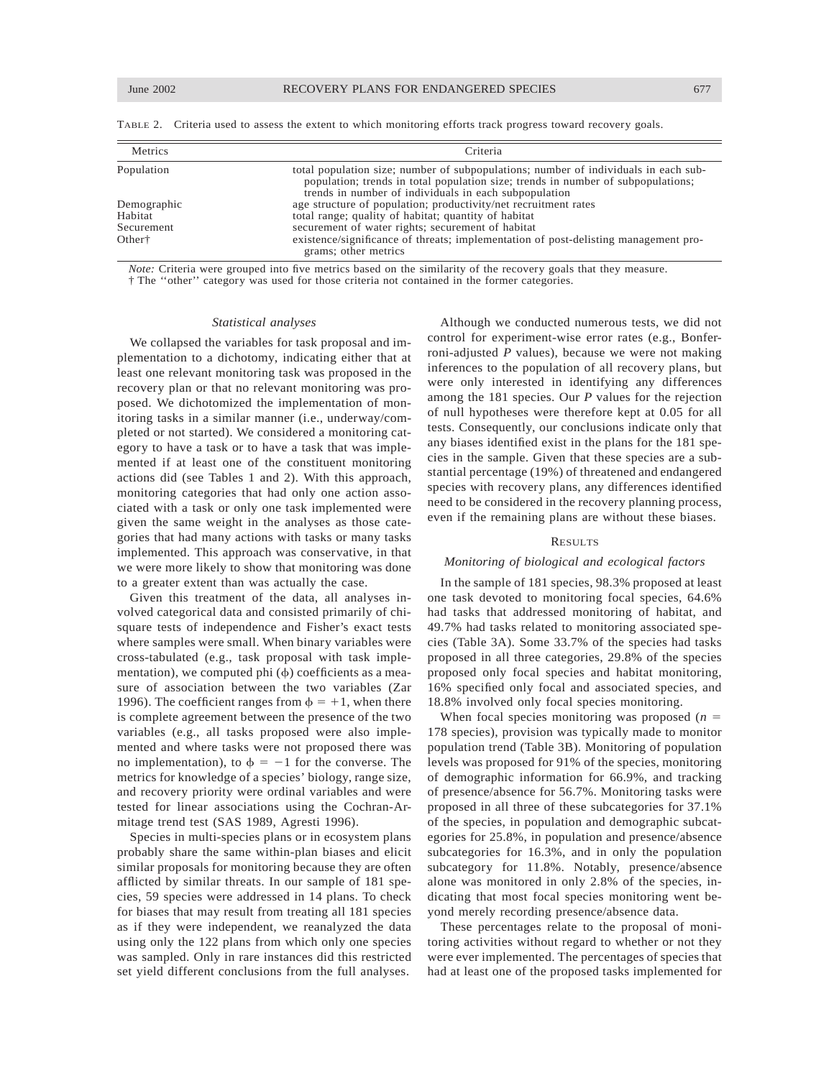| TABLE 2. Criteria used to assess the extent to which monitoring efforts track progress toward recovery goals. |  |  |  |  |  |
|---------------------------------------------------------------------------------------------------------------|--|--|--|--|--|
|                                                                                                               |  |  |  |  |  |

| <b>Metrics</b>                                             | Criteria                                                                                                                                                                                                                                                                                    |
|------------------------------------------------------------|---------------------------------------------------------------------------------------------------------------------------------------------------------------------------------------------------------------------------------------------------------------------------------------------|
| Population                                                 | total population size; number of subpopulations; number of individuals in each sub-<br>population; trends in total population size; trends in number of subpopulations;<br>trends in number of individuals in each subpopulation                                                            |
| Demographic<br>Habitat<br>Securement<br>Other <sup>†</sup> | age structure of population; productivity/net recruitment rates<br>total range; quality of habitat; quantity of habitat<br>securement of water rights; securement of habitat<br>existence/significance of threats; implementation of post-delisting management pro-<br>grams; other metrics |

*Note:* Criteria were grouped into five metrics based on the similarity of the recovery goals that they measure. † The ''other'' category was used for those criteria not contained in the former categories.

#### *Statistical analyses*

We collapsed the variables for task proposal and implementation to a dichotomy, indicating either that at least one relevant monitoring task was proposed in the recovery plan or that no relevant monitoring was proposed. We dichotomized the implementation of monitoring tasks in a similar manner (i.e., underway/completed or not started). We considered a monitoring category to have a task or to have a task that was implemented if at least one of the constituent monitoring actions did (see Tables 1 and 2). With this approach, monitoring categories that had only one action associated with a task or only one task implemented were given the same weight in the analyses as those categories that had many actions with tasks or many tasks implemented. This approach was conservative, in that we were more likely to show that monitoring was done to a greater extent than was actually the case.

Given this treatment of the data, all analyses involved categorical data and consisted primarily of chisquare tests of independence and Fisher's exact tests where samples were small. When binary variables were cross-tabulated (e.g., task proposal with task implementation), we computed phi $(\phi)$  coefficients as a measure of association between the two variables (Zar 1996). The coefficient ranges from  $\phi = +1$ , when there is complete agreement between the presence of the two variables (e.g., all tasks proposed were also implemented and where tasks were not proposed there was no implementation), to  $\phi = -1$  for the converse. The metrics for knowledge of a species' biology, range size, and recovery priority were ordinal variables and were tested for linear associations using the Cochran-Armitage trend test (SAS 1989, Agresti 1996).

Species in multi-species plans or in ecosystem plans probably share the same within-plan biases and elicit similar proposals for monitoring because they are often afflicted by similar threats. In our sample of 181 species, 59 species were addressed in 14 plans. To check for biases that may result from treating all 181 species as if they were independent, we reanalyzed the data using only the 122 plans from which only one species was sampled. Only in rare instances did this restricted set yield different conclusions from the full analyses.

Although we conducted numerous tests, we did not control for experiment-wise error rates (e.g., Bonferroni-adjusted *P* values), because we were not making inferences to the population of all recovery plans, but were only interested in identifying any differences among the 181 species. Our *P* values for the rejection of null hypotheses were therefore kept at 0.05 for all tests. Consequently, our conclusions indicate only that any biases identified exist in the plans for the 181 species in the sample. Given that these species are a substantial percentage (19%) of threatened and endangered species with recovery plans, any differences identified need to be considered in the recovery planning process, even if the remaining plans are without these biases.

## RESULTS

#### *Monitoring of biological and ecological factors*

In the sample of 181 species, 98.3% proposed at least one task devoted to monitoring focal species, 64.6% had tasks that addressed monitoring of habitat, and 49.7% had tasks related to monitoring associated species (Table 3A). Some 33.7% of the species had tasks proposed in all three categories, 29.8% of the species proposed only focal species and habitat monitoring, 16% specified only focal and associated species, and 18.8% involved only focal species monitoring.

When focal species monitoring was proposed  $(n =$ 178 species), provision was typically made to monitor population trend (Table 3B). Monitoring of population levels was proposed for 91% of the species, monitoring of demographic information for 66.9%, and tracking of presence/absence for 56.7%. Monitoring tasks were proposed in all three of these subcategories for 37.1% of the species, in population and demographic subcategories for 25.8%, in population and presence/absence subcategories for 16.3%, and in only the population subcategory for 11.8%. Notably, presence/absence alone was monitored in only 2.8% of the species, indicating that most focal species monitoring went beyond merely recording presence/absence data.

These percentages relate to the proposal of monitoring activities without regard to whether or not they were ever implemented. The percentages of species that had at least one of the proposed tasks implemented for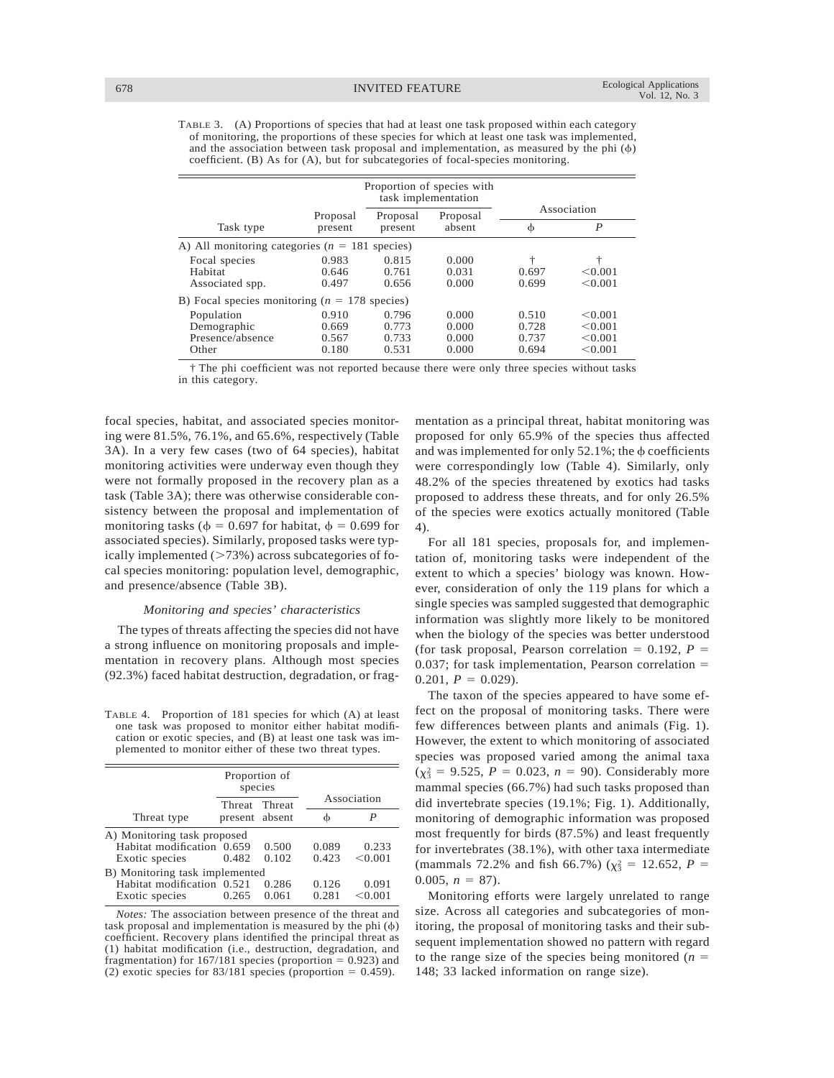|  | TABLE 3. (A) Proportions of species that had at least one task proposed within each category  |  |  |  |  |
|--|-----------------------------------------------------------------------------------------------|--|--|--|--|
|  | of monitoring, the proportions of these species for which at least one task was implemented,  |  |  |  |  |
|  | and the association between task proposal and implementation, as measured by the phi $(\phi)$ |  |  |  |  |
|  | coefficient. (B) As for (A), but for subcategories of focal-species monitoring.               |  |  |  |  |

|                                                   | Proposal | Proposal | Proposal | Association |                  |  |  |
|---------------------------------------------------|----------|----------|----------|-------------|------------------|--|--|
| Task type                                         | present  | present  | absent   | φ           | $\boldsymbol{P}$ |  |  |
| A) All monitoring categories ( $n = 181$ species) |          |          |          |             |                  |  |  |
| Focal species                                     | 0.983    | 0.815    | 0.000    | ÷           | ÷                |  |  |
| Habitat                                           | 0.646    | 0.761    | 0.031    | 0.697       | < 0.001          |  |  |
| Associated spp.                                   | 0.497    | 0.656    | 0.000    | 0.699       | < 0.001          |  |  |
| B) Focal species monitoring ( $n = 178$ species)  |          |          |          |             |                  |  |  |
| Population                                        | 0.910    | 0.796    | 0.000    | 0.510       | < 0.001          |  |  |
| Demographic                                       | 0.669    | 0.773    | 0.000    | 0.728       | < 0.001          |  |  |
| Presence/absence                                  | 0.567    | 0.733    | 0.000    | 0.737       | < 0.001          |  |  |
| Other                                             | 0.180    | 0.531    | 0.000    | 0.694       | < 0.001          |  |  |

† The phi coefficient was not reported because there were only three species without tasks in this category.

focal species, habitat, and associated species monitoring were 81.5%, 76.1%, and 65.6%, respectively (Table 3A). In a very few cases (two of 64 species), habitat monitoring activities were underway even though they were not formally proposed in the recovery plan as a task (Table 3A); there was otherwise considerable consistency between the proposal and implementation of monitoring tasks ( $\phi = 0.697$  for habitat,  $\phi = 0.699$  for associated species). Similarly, proposed tasks were typically implemented  $($ >73%) across subcategories of focal species monitoring: population level, demographic, and presence/absence (Table 3B).

## *Monitoring and species' characteristics*

The types of threats affecting the species did not have a strong influence on monitoring proposals and implementation in recovery plans. Although most species (92.3%) faced habitat destruction, degradation, or frag-

TABLE 4. Proportion of 181 species for which (A) at least one task was proposed to monitor either habitat modification or exotic species, and (B) at least one task was implemented to monitor either of these two threat types.

| Proportion of<br>species    |       |                                                                   |             |  |  |  |  |
|-----------------------------|-------|-------------------------------------------------------------------|-------------|--|--|--|--|
|                             |       |                                                                   | Association |  |  |  |  |
|                             |       | Φ                                                                 | P           |  |  |  |  |
| A) Monitoring task proposed |       |                                                                   |             |  |  |  |  |
| Habitat modification 0.659  | 0.500 | 0.089                                                             | 0.233       |  |  |  |  |
| 0.482                       | 0.102 | 0.423                                                             | < 0.001     |  |  |  |  |
|                             |       |                                                                   |             |  |  |  |  |
| Habitat modification 0.521  | 0.286 | 0.126                                                             | 0.091       |  |  |  |  |
| 0.265                       | 0.061 | 0.281                                                             | < 0.001     |  |  |  |  |
|                             |       | Threat Threat<br>present absent<br>B) Monitoring task implemented |             |  |  |  |  |

*Notes:* The association between presence of the threat and task proposal and implementation is measured by the phi $(\phi)$ coefficient. Recovery plans identified the principal threat as (1) habitat modification (i.e., destruction, degradation, and fragmentation) for  $167/181$  species (proportion = 0.923) and (2) exotic species for  $83/181$  species (proportion = 0.459).

mentation as a principal threat, habitat monitoring was proposed for only 65.9% of the species thus affected and was implemented for only  $52.1\%$ ; the  $\phi$  coefficients were correspondingly low (Table 4). Similarly, only 48.2% of the species threatened by exotics had tasks proposed to address these threats, and for only 26.5% of the species were exotics actually monitored (Table 4).

For all 181 species, proposals for, and implementation of, monitoring tasks were independent of the extent to which a species' biology was known. However, consideration of only the 119 plans for which a single species was sampled suggested that demographic information was slightly more likely to be monitored when the biology of the species was better understood (for task proposal, Pearson correlation  $= 0.192$ ,  $P =$  $0.037$ ; for task implementation, Pearson correlation =  $0.201, P = 0.029$ .

The taxon of the species appeared to have some effect on the proposal of monitoring tasks. There were few differences between plants and animals (Fig. 1). However, the extent to which monitoring of associated species was proposed varied among the animal taxa  $(\chi^2_3 = 9.525, P = 0.023, n = 90)$ . Considerably more mammal species (66.7%) had such tasks proposed than did invertebrate species (19.1%; Fig. 1). Additionally, monitoring of demographic information was proposed most frequently for birds (87.5%) and least frequently for invertebrates (38.1%), with other taxa intermediate (mammals 72.2% and fish 66.7%) ( $\chi^2$  = 12.652, *P* =  $0.005, n = 87$ .

Monitoring efforts were largely unrelated to range size. Across all categories and subcategories of monitoring, the proposal of monitoring tasks and their subsequent implementation showed no pattern with regard to the range size of the species being monitored ( $n =$ 148; 33 lacked information on range size).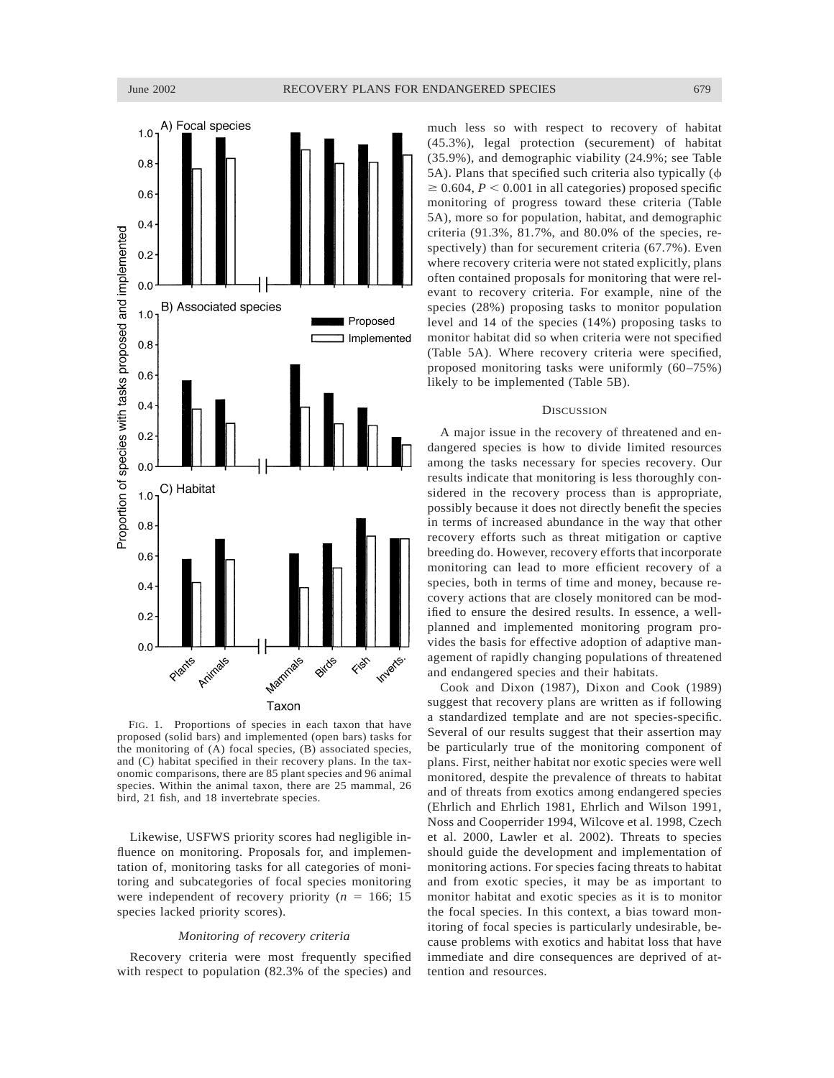

FIG. 1. Proportions of species in each taxon that have proposed (solid bars) and implemented (open bars) tasks for the monitoring of (A) focal species, (B) associated species, and (C) habitat specified in their recovery plans. In the taxonomic comparisons, there are 85 plant species and 96 animal species. Within the animal taxon, there are 25 mammal, 26 bird, 21 fish, and 18 invertebrate species.

Likewise, USFWS priority scores had negligible influence on monitoring. Proposals for, and implementation of, monitoring tasks for all categories of monitoring and subcategories of focal species monitoring were independent of recovery priority  $(n = 166; 15)$ species lacked priority scores).

# *Monitoring of recovery criteria*

Recovery criteria were most frequently specified with respect to population (82.3% of the species) and

much less so with respect to recovery of habitat (45.3%), legal protection (securement) of habitat (35.9%), and demographic viability (24.9%; see Table 5A). Plans that specified such criteria also typically  $(\phi)$  $\geq 0.604$ ,  $P < 0.001$  in all categories) proposed specific monitoring of progress toward these criteria (Table 5A), more so for population, habitat, and demographic criteria (91.3%, 81.7%, and 80.0% of the species, respectively) than for securement criteria (67.7%). Even where recovery criteria were not stated explicitly, plans often contained proposals for monitoring that were relevant to recovery criteria. For example, nine of the species (28%) proposing tasks to monitor population level and 14 of the species (14%) proposing tasks to monitor habitat did so when criteria were not specified (Table 5A). Where recovery criteria were specified, proposed monitoring tasks were uniformly (60–75%) likely to be implemented (Table 5B).

# **DISCUSSION**

A major issue in the recovery of threatened and endangered species is how to divide limited resources among the tasks necessary for species recovery. Our results indicate that monitoring is less thoroughly considered in the recovery process than is appropriate, possibly because it does not directly benefit the species in terms of increased abundance in the way that other recovery efforts such as threat mitigation or captive breeding do. However, recovery efforts that incorporate monitoring can lead to more efficient recovery of a species, both in terms of time and money, because recovery actions that are closely monitored can be modified to ensure the desired results. In essence, a wellplanned and implemented monitoring program provides the basis for effective adoption of adaptive management of rapidly changing populations of threatened and endangered species and their habitats.

Cook and Dixon (1987), Dixon and Cook (1989) suggest that recovery plans are written as if following a standardized template and are not species-specific. Several of our results suggest that their assertion may be particularly true of the monitoring component of plans. First, neither habitat nor exotic species were well monitored, despite the prevalence of threats to habitat and of threats from exotics among endangered species (Ehrlich and Ehrlich 1981, Ehrlich and Wilson 1991, Noss and Cooperrider 1994, Wilcove et al. 1998, Czech et al. 2000, Lawler et al. 2002). Threats to species should guide the development and implementation of monitoring actions. For species facing threats to habitat and from exotic species, it may be as important to monitor habitat and exotic species as it is to monitor the focal species. In this context, a bias toward monitoring of focal species is particularly undesirable, because problems with exotics and habitat loss that have immediate and dire consequences are deprived of attention and resources.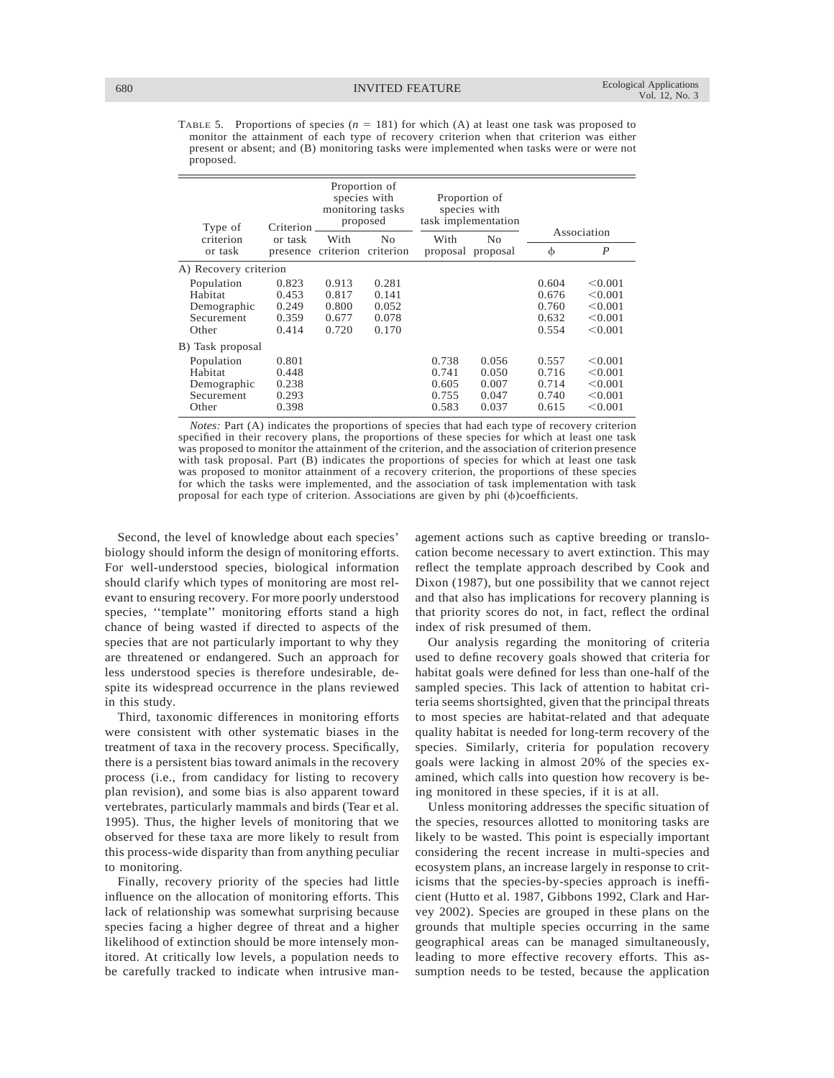| Type of                                                                         | Criterion                                 | proposed                                  | Proportion of<br>species with<br>monitoring tasks | Proportion of<br>species with<br>task implementation |                                           |                                           |                                                     |  |
|---------------------------------------------------------------------------------|-------------------------------------------|-------------------------------------------|---------------------------------------------------|------------------------------------------------------|-------------------------------------------|-------------------------------------------|-----------------------------------------------------|--|
| criterion                                                                       | or task                                   | With                                      | No                                                | With                                                 | No                                        | Association                               |                                                     |  |
| or task                                                                         | presence                                  | criterion                                 | criterion                                         | proposal proposal                                    |                                           | $\phi$                                    | $\boldsymbol{P}$                                    |  |
| A) Recovery criterion                                                           |                                           |                                           |                                                   |                                                      |                                           |                                           |                                                     |  |
| Population<br>Habitat<br>Demographic<br>Securement<br>Other                     | 0.823<br>0.453<br>0.249<br>0.359<br>0.414 | 0.913<br>0.817<br>0.800<br>0.677<br>0.720 | 0.281<br>0.141<br>0.052<br>0.078<br>0.170         |                                                      |                                           | 0.604<br>0.676<br>0.760<br>0.632<br>0.554 | < 0.001<br>< 0.001<br>< 0.001<br>< 0.001<br>< 0.001 |  |
| B) Task proposal<br>Population<br>Habitat<br>Demographic<br>Securement<br>Other | 0.801<br>0.448<br>0.238<br>0.293<br>0.398 |                                           |                                                   | 0.738<br>0.741<br>0.605<br>0.755<br>0.583            | 0.056<br>0.050<br>0.007<br>0.047<br>0.037 | 0.557<br>0.716<br>0.714<br>0.740<br>0.615 | < 0.001<br>< 0.001<br>< 0.001<br>< 0.001<br>< 0.001 |  |

TABLE 5. Proportions of species  $(n = 181)$  for which (A) at least one task was proposed to monitor the attainment of each type of recovery criterion when that criterion was either present or absent; and (B) monitoring tasks were implemented when tasks were or were not proposed.

*Notes:* Part (A) indicates the proportions of species that had each type of recovery criterion specified in their recovery plans, the proportions of these species for which at least one task was proposed to monitor the attainment of the criterion, and the association of criterion presence with task proposal. Part (B) indicates the proportions of species for which at least one task was proposed to monitor attainment of a recovery criterion, the proportions of these species for which the tasks were implemented, and the association of task implementation with task proposal for each type of criterion. Associations are given by phi  $(\phi)$ coefficients.

Second, the level of knowledge about each species' biology should inform the design of monitoring efforts. For well-understood species, biological information should clarify which types of monitoring are most relevant to ensuring recovery. For more poorly understood species, ''template'' monitoring efforts stand a high chance of being wasted if directed to aspects of the species that are not particularly important to why they are threatened or endangered. Such an approach for less understood species is therefore undesirable, despite its widespread occurrence in the plans reviewed in this study.

Third, taxonomic differences in monitoring efforts were consistent with other systematic biases in the treatment of taxa in the recovery process. Specifically, there is a persistent bias toward animals in the recovery process (i.e., from candidacy for listing to recovery plan revision), and some bias is also apparent toward vertebrates, particularly mammals and birds (Tear et al. 1995). Thus, the higher levels of monitoring that we observed for these taxa are more likely to result from this process-wide disparity than from anything peculiar to monitoring.

Finally, recovery priority of the species had little influence on the allocation of monitoring efforts. This lack of relationship was somewhat surprising because species facing a higher degree of threat and a higher likelihood of extinction should be more intensely monitored. At critically low levels, a population needs to be carefully tracked to indicate when intrusive management actions such as captive breeding or translocation become necessary to avert extinction. This may reflect the template approach described by Cook and Dixon (1987), but one possibility that we cannot reject and that also has implications for recovery planning is that priority scores do not, in fact, reflect the ordinal index of risk presumed of them.

Our analysis regarding the monitoring of criteria used to define recovery goals showed that criteria for habitat goals were defined for less than one-half of the sampled species. This lack of attention to habitat criteria seems shortsighted, given that the principal threats to most species are habitat-related and that adequate quality habitat is needed for long-term recovery of the species. Similarly, criteria for population recovery goals were lacking in almost 20% of the species examined, which calls into question how recovery is being monitored in these species, if it is at all.

Unless monitoring addresses the specific situation of the species, resources allotted to monitoring tasks are likely to be wasted. This point is especially important considering the recent increase in multi-species and ecosystem plans, an increase largely in response to criticisms that the species-by-species approach is inefficient (Hutto et al. 1987, Gibbons 1992, Clark and Harvey 2002). Species are grouped in these plans on the grounds that multiple species occurring in the same geographical areas can be managed simultaneously, leading to more effective recovery efforts. This assumption needs to be tested, because the application